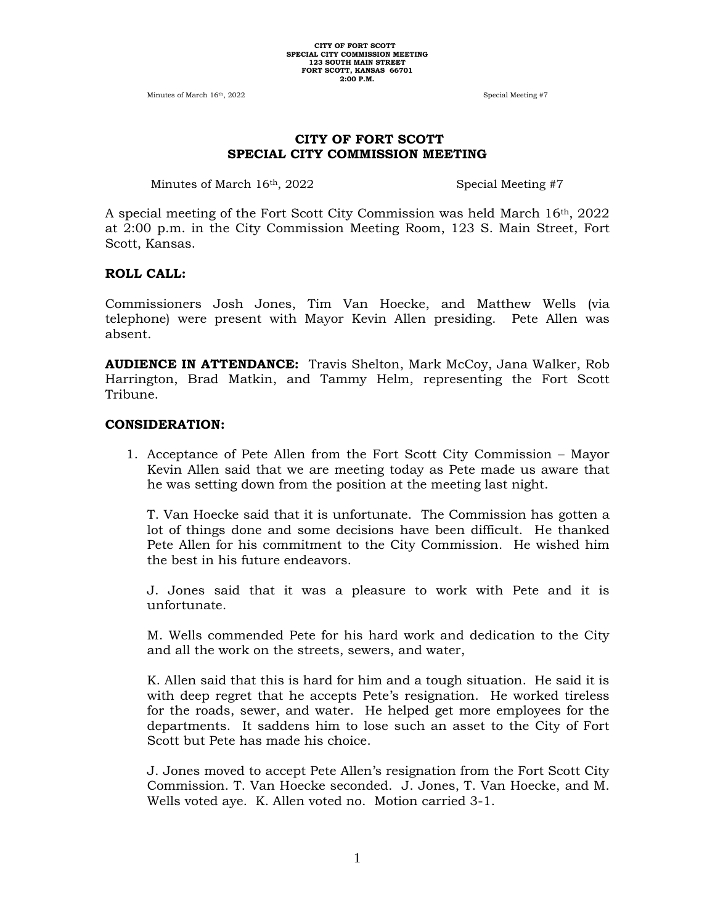Minutes of March 16<sup>th</sup>, 2022 Special Meeting #7

### **CITY OF FORT SCOTT SPECIAL CITY COMMISSION MEETING**

Minutes of March 16<sup>th</sup>, 2022 Special Meeting #7

A special meeting of the Fort Scott City Commission was held March 16th, 2022 at 2:00 p.m. in the City Commission Meeting Room, 123 S. Main Street, Fort Scott, Kansas.

#### **ROLL CALL:**

Commissioners Josh Jones, Tim Van Hoecke, and Matthew Wells (via telephone) were present with Mayor Kevin Allen presiding. Pete Allen was absent.

**AUDIENCE IN ATTENDANCE:** Travis Shelton, Mark McCoy, Jana Walker, Rob Harrington, Brad Matkin, and Tammy Helm, representing the Fort Scott Tribune.

#### **CONSIDERATION:**

1. Acceptance of Pete Allen from the Fort Scott City Commission – Mayor Kevin Allen said that we are meeting today as Pete made us aware that he was setting down from the position at the meeting last night.

T. Van Hoecke said that it is unfortunate. The Commission has gotten a lot of things done and some decisions have been difficult. He thanked Pete Allen for his commitment to the City Commission. He wished him the best in his future endeavors.

J. Jones said that it was a pleasure to work with Pete and it is unfortunate.

M. Wells commended Pete for his hard work and dedication to the City and all the work on the streets, sewers, and water,

K. Allen said that this is hard for him and a tough situation. He said it is with deep regret that he accepts Pete's resignation. He worked tireless for the roads, sewer, and water. He helped get more employees for the departments. It saddens him to lose such an asset to the City of Fort Scott but Pete has made his choice.

J. Jones moved to accept Pete Allen's resignation from the Fort Scott City Commission. T. Van Hoecke seconded. J. Jones, T. Van Hoecke, and M. Wells voted aye. K. Allen voted no. Motion carried 3-1.